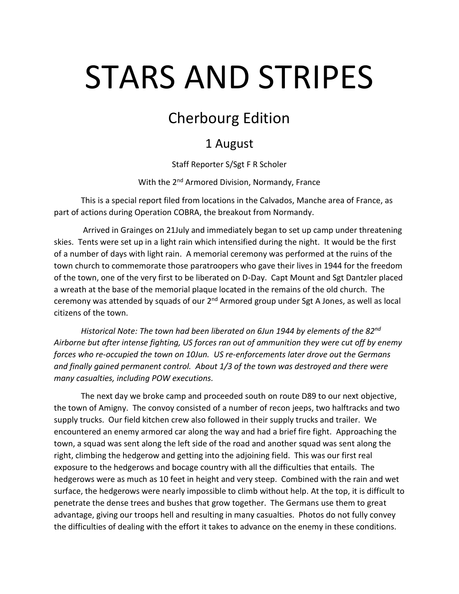## STARS AND STRIPES

## Cherbourg Edition

## 1 August

Staff Reporter S/Sgt F R Scholer

With the 2<sup>nd</sup> Armored Division, Normandy, France

This is a special report filed from locations in the Calvados, Manche area of France, as part of actions during Operation COBRA, the breakout from Normandy.

Arrived in Grainges on 21July and immediately began to set up camp under threatening skies. Tents were set up in a light rain which intensified during the night. It would be the first of a number of days with light rain. A memorial ceremony was performed at the ruins of the town church to commemorate those paratroopers who gave their lives in 1944 for the freedom of the town, one of the very first to be liberated on D-Day. Capt Mount and Sgt Dantzler placed a wreath at the base of the memorial plaque located in the remains of the old church. The ceremony was attended by squads of our 2<sup>nd</sup> Armored group under Sgt A Jones, as well as local citizens of the town.

*Historical Note: The town had been liberated on 6Jun 1944 by elements of the 82nd Airborne but after intense fighting, US forces ran out of ammunition they were cut off by enemy forces who re-occupied the town on 10Jun. US re-enforcements later drove out the Germans and finally gained permanent control. About 1/3 of the town was destroyed and there were many casualties, including POW executions.* 

The next day we broke camp and proceeded south on route D89 to our next objective, the town of Amigny. The convoy consisted of a number of recon jeeps, two halftracks and two supply trucks. Our field kitchen crew also followed in their supply trucks and trailer. We encountered an enemy armored car along the way and had a brief fire fight. Approaching the town, a squad was sent along the left side of the road and another squad was sent along the right, climbing the hedgerow and getting into the adjoining field. This was our first real exposure to the hedgerows and bocage country with all the difficulties that entails. The hedgerows were as much as 10 feet in height and very steep. Combined with the rain and wet surface, the hedgerows were nearly impossible to climb without help. At the top, it is difficult to penetrate the dense trees and bushes that grow together. The Germans use them to great advantage, giving our troops hell and resulting in many casualties. Photos do not fully convey the difficulties of dealing with the effort it takes to advance on the enemy in these conditions.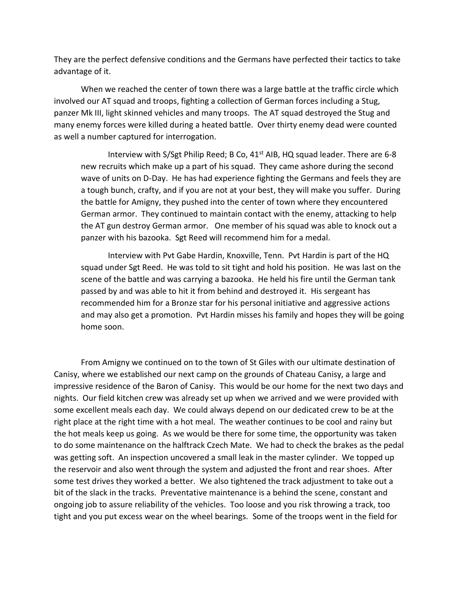They are the perfect defensive conditions and the Germans have perfected their tactics to take advantage of it.

When we reached the center of town there was a large battle at the traffic circle which involved our AT squad and troops, fighting a collection of German forces including a Stug, panzer Mk III, light skinned vehicles and many troops. The AT squad destroyed the Stug and many enemy forces were killed during a heated battle. Over thirty enemy dead were counted as well a number captured for interrogation.

Interview with S/Sgt Philip Reed; B Co, 41<sup>st</sup> AIB, HQ squad leader. There are 6-8 new recruits which make up a part of his squad. They came ashore during the second wave of units on D-Day. He has had experience fighting the Germans and feels they are a tough bunch, crafty, and if you are not at your best, they will make you suffer. During the battle for Amigny, they pushed into the center of town where they encountered German armor. They continued to maintain contact with the enemy, attacking to help the AT gun destroy German armor. One member of his squad was able to knock out a panzer with his bazooka. Sgt Reed will recommend him for a medal.

Interview with Pvt Gabe Hardin, Knoxville, Tenn. Pvt Hardin is part of the HQ squad under Sgt Reed. He was told to sit tight and hold his position. He was last on the scene of the battle and was carrying a bazooka. He held his fire until the German tank passed by and was able to hit it from behind and destroyed it. His sergeant has recommended him for a Bronze star for his personal initiative and aggressive actions and may also get a promotion. Pvt Hardin misses his family and hopes they will be going home soon.

From Amigny we continued on to the town of St Giles with our ultimate destination of Canisy, where we established our next camp on the grounds of Chateau Canisy, a large and impressive residence of the Baron of Canisy. This would be our home for the next two days and nights. Our field kitchen crew was already set up when we arrived and we were provided with some excellent meals each day. We could always depend on our dedicated crew to be at the right place at the right time with a hot meal. The weather continues to be cool and rainy but the hot meals keep us going. As we would be there for some time, the opportunity was taken to do some maintenance on the halftrack Czech Mate. We had to check the brakes as the pedal was getting soft. An inspection uncovered a small leak in the master cylinder. We topped up the reservoir and also went through the system and adjusted the front and rear shoes. After some test drives they worked a better. We also tightened the track adjustment to take out a bit of the slack in the tracks. Preventative maintenance is a behind the scene, constant and ongoing job to assure reliability of the vehicles. Too loose and you risk throwing a track, too tight and you put excess wear on the wheel bearings. Some of the troops went in the field for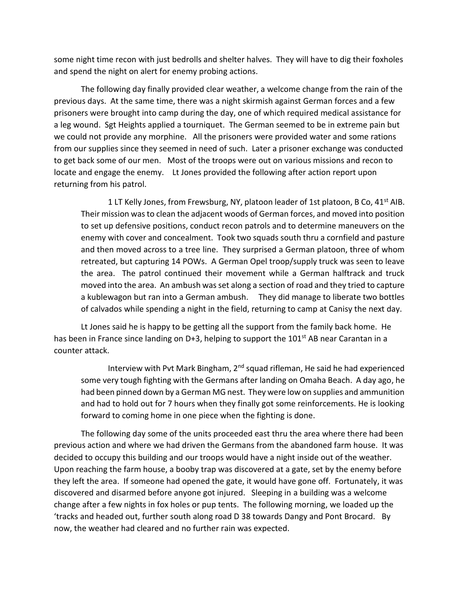some night time recon with just bedrolls and shelter halves. They will have to dig their foxholes and spend the night on alert for enemy probing actions.

The following day finally provided clear weather, a welcome change from the rain of the previous days. At the same time, there was a night skirmish against German forces and a few prisoners were brought into camp during the day, one of which required medical assistance for a leg wound. Sgt Heights applied a tourniquet. The German seemed to be in extreme pain but we could not provide any morphine. All the prisoners were provided water and some rations from our supplies since they seemed in need of such. Later a prisoner exchange was conducted to get back some of our men. Most of the troops were out on various missions and recon to locate and engage the enemy. Lt Jones provided the following after action report upon returning from his patrol.

1 LT Kelly Jones, from Frewsburg, NY, platoon leader of 1st platoon, B Co,  $41<sup>st</sup>$  AIB. Their mission was to clean the adjacent woods of German forces, and moved into position to set up defensive positions, conduct recon patrols and to determine maneuvers on the enemy with cover and concealment. Took two squads south thru a cornfield and pasture and then moved across to a tree line. They surprised a German platoon, three of whom retreated, but capturing 14 POWs. A German Opel troop/supply truck was seen to leave the area. The patrol continued their movement while a German halftrack and truck moved into the area. An ambush was set along a section of road and they tried to capture a kublewagon but ran into a German ambush. They did manage to liberate two bottles of calvados while spending a night in the field, returning to camp at Canisy the next day.

Lt Jones said he is happy to be getting all the support from the family back home. He has been in France since landing on D+3, helping to support the 101<sup>st</sup> AB near Carantan in a counter attack.

Interview with Pvt Mark Bingham, 2<sup>nd</sup> squad rifleman, He said he had experienced some very tough fighting with the Germans after landing on Omaha Beach. A day ago, he had been pinned down by a German MG nest. They were low on supplies and ammunition and had to hold out for 7 hours when they finally got some reinforcements. He is looking forward to coming home in one piece when the fighting is done.

The following day some of the units proceeded east thru the area where there had been previous action and where we had driven the Germans from the abandoned farm house. It was decided to occupy this building and our troops would have a night inside out of the weather. Upon reaching the farm house, a booby trap was discovered at a gate, set by the enemy before they left the area. If someone had opened the gate, it would have gone off. Fortunately, it was discovered and disarmed before anyone got injured. Sleeping in a building was a welcome change after a few nights in fox holes or pup tents. The following morning, we loaded up the 'tracks and headed out, further south along road D 38 towards Dangy and Pont Brocard. By now, the weather had cleared and no further rain was expected.